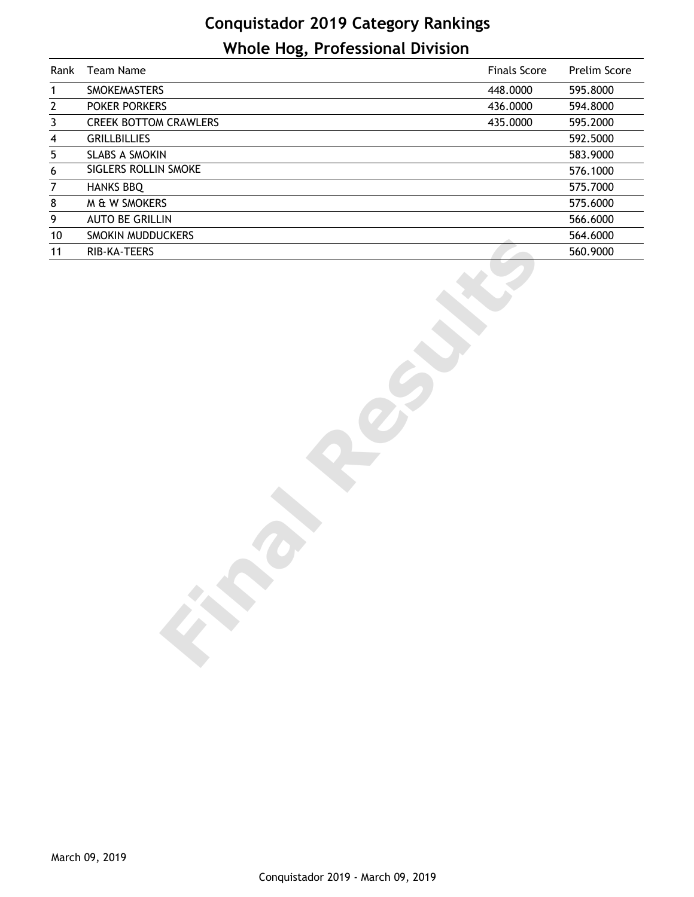## **Conquistador 2019 Category Rankings Whole Hog, Professional Division**

| Rank                    | Team Name                    | <b>Finals Score</b> | Prelim Score |
|-------------------------|------------------------------|---------------------|--------------|
| $\mathbf{1}$            | SMOKEMASTERS                 | 448.0000            | 595.8000     |
| $\overline{\mathbf{c}}$ | POKER PORKERS                | 436.0000            | 594.8000     |
| 3                       | <b>CREEK BOTTOM CRAWLERS</b> | 435.0000            | 595.2000     |
| $\overline{\mathbf{4}}$ | <b>GRILLBILLIES</b>          |                     | 592.5000     |
| 5                       | <b>SLABS A SMOKIN</b>        |                     | 583.9000     |
| 6                       | <b>SIGLERS ROLLIN SMOKE</b>  |                     | 576.1000     |
| $\overline{7}$          | <b>HANKS BBQ</b>             |                     | 575.7000     |
| 8                       | M & W SMOKERS                |                     | 575.6000     |
| 9                       | <b>AUTO BE GRILLIN</b>       |                     | 566.6000     |
| 10                      | SMOKIN MUDDUCKERS            |                     | 564.6000     |
| 11                      | RIB-KA-TEERS                 |                     | 560.9000     |
|                         | EFE                          |                     |              |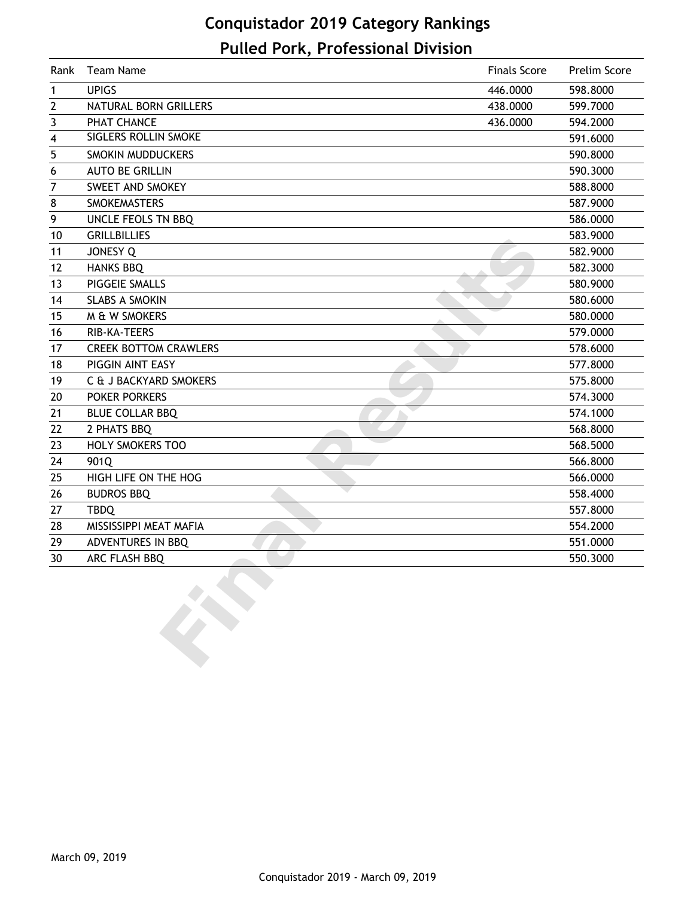## **Conquistador 2019 Category Rankings Pulled Pork, Professional Division**

| Rank | <b>Team Name</b>             | <b>Finals Score</b> | Prelim Score |
|------|------------------------------|---------------------|--------------|
| 1    | <b>UPIGS</b>                 | 446.0000            | 598.8000     |
| 2    | NATURAL BORN GRILLERS        | 438.0000            | 599.7000     |
| 3    | PHAT CHANCE                  | 436.0000            | 594.2000     |
| 4    | SIGLERS ROLLIN SMOKE         |                     | 591.6000     |
| 5    | SMOKIN MUDDUCKERS            |                     | 590.8000     |
| 6    | <b>AUTO BE GRILLIN</b>       |                     | 590.3000     |
| 7    | SWEET AND SMOKEY             |                     | 588.8000     |
| 8    | <b>SMOKEMASTERS</b>          |                     | 587.9000     |
| 9    | UNCLE FEOLS TN BBQ           |                     | 586.0000     |
| 10   | <b>GRILLBILLIES</b>          |                     | 583.9000     |
| 11   | <b>JONESY Q</b>              |                     | 582.9000     |
| 12   | <b>HANKS BBQ</b>             |                     | 582.3000     |
| 13   | PIGGEIE SMALLS               |                     | 580.9000     |
| 14   | <b>SLABS A SMOKIN</b>        |                     | 580.6000     |
| 15   | M & W SMOKERS                |                     | 580.0000     |
| 16   | RIB-KA-TEERS                 |                     | 579.0000     |
| 17   | <b>CREEK BOTTOM CRAWLERS</b> |                     | 578.6000     |
| 18   | PIGGIN AINT EASY             |                     | 577.8000     |
| 19   | C & J BACKYARD SMOKERS       |                     | 575.8000     |
| 20   | <b>POKER PORKERS</b>         |                     | 574.3000     |
| 21   | <b>BLUE COLLAR BBQ</b>       |                     | 574.1000     |
| 22   | 2 PHATS BBQ                  |                     | 568.8000     |
| 23   | <b>HOLY SMOKERS TOO</b>      |                     | 568.5000     |
| 24   | 901Q                         |                     | 566.8000     |
| 25   | HIGH LIFE ON THE HOG         |                     | 566.0000     |
| 26   | <b>BUDROS BBQ</b>            |                     | 558.4000     |
| 27   | <b>TBDQ</b>                  |                     | 557.8000     |
| 28   | MISSISSIPPI MEAT MAFIA       |                     | 554.2000     |
| 29   | ADVENTURES IN BBQ            |                     | 551.0000     |
| 30   | ARC FLASH BBQ                |                     | 550.3000     |
|      |                              |                     |              |